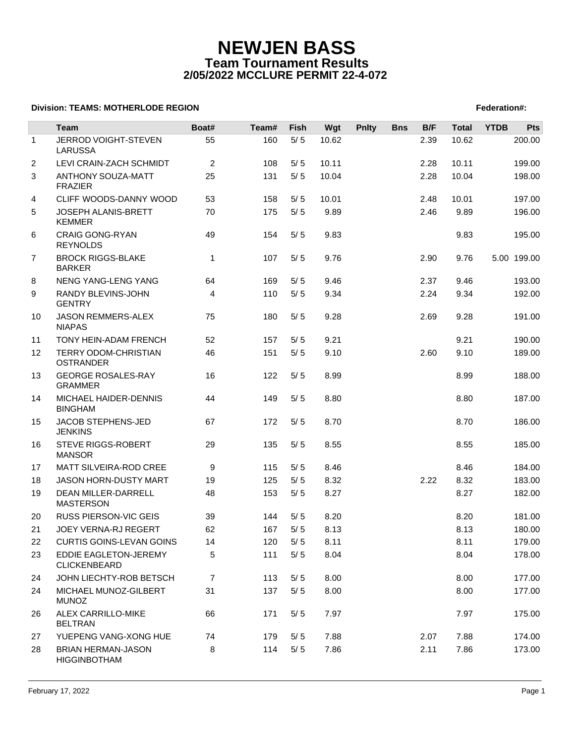# **NEWJEN BASS Team Tournament Results 2/05/2022 MCCLURE PERMIT 22-4-072**

### **Division: TEAMS: MOTHERLODE REGION FEDERATION FEDERATION: A SET AND REGION FEDERATION: TEAMS: NOTHERLODE REGION**

|              | <b>Team</b>                                      | Boat#          | Team# | Fish  | Wgt   | <b>Pnlty</b> | <b>Bns</b> | B/F  | <b>Total</b> | <b>YTDB</b> | Pts         |
|--------------|--------------------------------------------------|----------------|-------|-------|-------|--------------|------------|------|--------------|-------------|-------------|
| $\mathbf{1}$ | JERROD VOIGHT-STEVEN<br><b>LARUSSA</b>           | 55             | 160   | $5/5$ | 10.62 |              |            | 2.39 | 10.62        |             | 200.00      |
| 2            | LEVI CRAIN-ZACH SCHMIDT                          | 2              | 108   | 5/5   | 10.11 |              |            | 2.28 | 10.11        |             | 199.00      |
| 3            | ANTHONY SOUZA-MATT<br><b>FRAZIER</b>             | 25             | 131   | 5/5   | 10.04 |              |            | 2.28 | 10.04        |             | 198.00      |
| 4            | CLIFF WOODS-DANNY WOOD                           | 53             | 158   | 5/5   | 10.01 |              |            | 2.48 | 10.01        |             | 197.00      |
| 5            | JOSEPH ALANIS-BRETT<br><b>KEMMER</b>             | 70             | 175   | 5/5   | 9.89  |              |            | 2.46 | 9.89         |             | 196.00      |
| 6            | <b>CRAIG GONG-RYAN</b><br><b>REYNOLDS</b>        | 49             | 154   | 5/5   | 9.83  |              |            |      | 9.83         |             | 195.00      |
| 7            | <b>BROCK RIGGS-BLAKE</b><br><b>BARKER</b>        | $\mathbf{1}$   | 107   | 5/5   | 9.76  |              |            | 2.90 | 9.76         |             | 5.00 199.00 |
| 8            | NENG YANG-LENG YANG                              | 64             | 169   | 5/5   | 9.46  |              |            | 2.37 | 9.46         |             | 193.00      |
| 9            | RANDY BLEVINS-JOHN<br><b>GENTRY</b>              | 4              | 110   | 5/5   | 9.34  |              |            | 2.24 | 9.34         |             | 192.00      |
| 10           | <b>JASON REMMERS-ALEX</b><br><b>NIAPAS</b>       | 75             | 180   | 5/5   | 9.28  |              |            | 2.69 | 9.28         |             | 191.00      |
| 11           | TONY HEIN-ADAM FRENCH                            | 52             | 157   | 5/5   | 9.21  |              |            |      | 9.21         |             | 190.00      |
| 12           | TERRY ODOM-CHRISTIAN<br><b>OSTRANDER</b>         | 46             | 151   | 5/5   | 9.10  |              |            | 2.60 | 9.10         |             | 189.00      |
| 13           | <b>GEORGE ROSALES-RAY</b><br><b>GRAMMER</b>      | 16             | 122   | 5/5   | 8.99  |              |            |      | 8.99         |             | 188.00      |
| 14           | MICHAEL HAIDER-DENNIS<br><b>BINGHAM</b>          | 44             | 149   | 5/5   | 8.80  |              |            |      | 8.80         |             | 187.00      |
| 15           | JACOB STEPHENS-JED<br><b>JENKINS</b>             | 67             | 172   | 5/5   | 8.70  |              |            |      | 8.70         |             | 186.00      |
| 16           | STEVE RIGGS-ROBERT<br><b>MANSOR</b>              | 29             | 135   | 5/5   | 8.55  |              |            |      | 8.55         |             | 185.00      |
| 17           | MATT SILVEIRA-ROD CREE                           | 9              | 115   | 5/5   | 8.46  |              |            |      | 8.46         |             | 184.00      |
| 18           | <b>JASON HORN-DUSTY MART</b>                     | 19             | 125   | 5/5   | 8.32  |              |            | 2.22 | 8.32         |             | 183.00      |
| 19           | DEAN MILLER-DARRELL<br><b>MASTERSON</b>          | 48             | 153   | 5/5   | 8.27  |              |            |      | 8.27         |             | 182.00      |
| 20           | <b>RUSS PIERSON-VIC GEIS</b>                     | 39             | 144   | 5/5   | 8.20  |              |            |      | 8.20         |             | 181.00      |
| 21           | JOEY VERNA-RJ REGERT                             | 62             | 167   | $5/5$ | 8.13  |              |            |      | 8.13         |             | 180.00      |
| 22           | <b>CURTIS GOINS-LEVAN GOINS</b>                  | 14             | 120   | $5/5$ | 8.11  |              |            |      | 8.11         |             | 179.00      |
| 23           | EDDIE EAGLETON-JEREMY<br><b>CLICKENBEARD</b>     | 5              | 111   | $5/5$ | 8.04  |              |            |      | 8.04         |             | 178.00      |
| 24           | JOHN LIECHTY-ROB BETSCH                          | $\overline{7}$ | 113   | 5/5   | 8.00  |              |            |      | 8.00         |             | 177.00      |
| 24           | MICHAEL MUNOZ-GILBERT<br><b>MUNOZ</b>            | 31             | 137   | 5/5   | 8.00  |              |            |      | 8.00         |             | 177.00      |
| 26           | ALEX CARRILLO-MIKE<br><b>BELTRAN</b>             | 66             | 171   | 5/5   | 7.97  |              |            |      | 7.97         |             | 175.00      |
| 27           | YUEPENG VANG-XONG HUE                            | 74             | 179   | 5/5   | 7.88  |              |            | 2.07 | 7.88         |             | 174.00      |
| 28           | <b>BRIAN HERMAN-JASON</b><br><b>HIGGINBOTHAM</b> | 8              | 114   | 5/5   | 7.86  |              |            | 2.11 | 7.86         |             | 173.00      |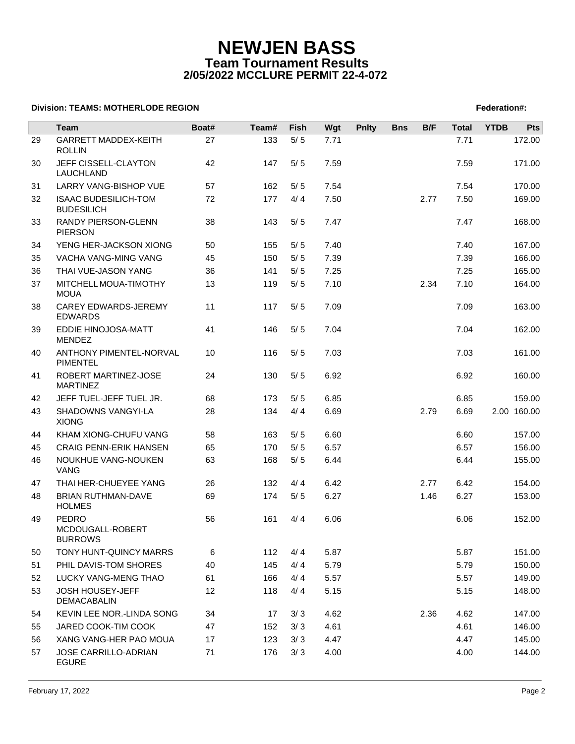# **NEWJEN BASS Team Tournament Results 2/05/2022 MCCLURE PERMIT 22-4-072**

### **Division: TEAMS: MOTHERLODE REGION FEDERATION FEDERATION: A SET AND REGION FEDERATION: TEAMS: NOTHERLODE REGION**

|    | Team                                             | Boat# | Team# | Fish  | Wgt  | <b>Pnlty</b> | <b>Bns</b> | B/F  | <b>Total</b> | <b>YTDB</b> | <b>Pts</b>  |
|----|--------------------------------------------------|-------|-------|-------|------|--------------|------------|------|--------------|-------------|-------------|
| 29 | <b>GARRETT MADDEX-KEITH</b>                      | 27    | 133   | $5/5$ | 7.71 |              |            |      | 7.71         |             | 172.00      |
|    | <b>ROLLIN</b>                                    |       |       |       |      |              |            |      |              |             |             |
| 30 | JEFF CISSELL-CLAYTON<br>LAUCHLAND                | 42    | 147   | 5/5   | 7.59 |              |            |      | 7.59         |             | 171.00      |
| 31 | LARRY VANG-BISHOP VUE                            | 57    | 162   | 5/5   | 7.54 |              |            |      | 7.54         |             | 170.00      |
| 32 | <b>ISAAC BUDESILICH-TOM</b><br><b>BUDESILICH</b> | 72    | 177   | 4/4   | 7.50 |              |            | 2.77 | 7.50         |             | 169.00      |
| 33 | RANDY PIERSON-GLENN<br><b>PIERSON</b>            | 38    | 143   | 5/5   | 7.47 |              |            |      | 7.47         |             | 168.00      |
| 34 | YENG HER-JACKSON XIONG                           | 50    | 155   | 5/5   | 7.40 |              |            |      | 7.40         |             | 167.00      |
| 35 | VACHA VANG-MING VANG                             | 45    | 150   | $5/5$ | 7.39 |              |            |      | 7.39         |             | 166.00      |
| 36 | THAI VUE-JASON YANG                              | 36    | 141   | 5/5   | 7.25 |              |            |      | 7.25         |             | 165.00      |
| 37 | MITCHELL MOUA-TIMOTHY<br><b>MOUA</b>             | 13    | 119   | 5/5   | 7.10 |              |            | 2.34 | 7.10         |             | 164.00      |
| 38 | CAREY EDWARDS-JEREMY<br><b>EDWARDS</b>           | 11    | 117   | 5/5   | 7.09 |              |            |      | 7.09         |             | 163.00      |
| 39 | EDDIE HINOJOSA-MATT<br><b>MENDEZ</b>             | 41    | 146   | 5/5   | 7.04 |              |            |      | 7.04         |             | 162.00      |
| 40 | ANTHONY PIMENTEL-NORVAL<br><b>PIMENTEL</b>       | 10    | 116   | 5/5   | 7.03 |              |            |      | 7.03         |             | 161.00      |
| 41 | ROBERT MARTINEZ-JOSE<br><b>MARTINEZ</b>          | 24    | 130   | 5/5   | 6.92 |              |            |      | 6.92         |             | 160.00      |
| 42 | JEFF TUEL-JEFF TUEL JR.                          | 68    | 173   | 5/5   | 6.85 |              |            |      | 6.85         |             | 159.00      |
| 43 | SHADOWNS VANGYI-LA<br><b>XIONG</b>               | 28    | 134   | 4/4   | 6.69 |              |            | 2.79 | 6.69         |             | 2.00 160.00 |
| 44 | KHAM XIONG-CHUFU VANG                            | 58    | 163   | 5/5   | 6.60 |              |            |      | 6.60         |             | 157.00      |
| 45 | <b>CRAIG PENN-ERIK HANSEN</b>                    | 65    | 170   | 5/5   | 6.57 |              |            |      | 6.57         |             | 156.00      |
| 46 | NOUKHUE VANG-NOUKEN<br><b>VANG</b>               | 63    | 168   | $5/5$ | 6.44 |              |            |      | 6.44         |             | 155.00      |
| 47 | THAI HER-CHUEYEE YANG                            | 26    | 132   | 4/4   | 6.42 |              |            | 2.77 | 6.42         |             | 154.00      |
| 48 | BRIAN RUTHMAN-DAVE<br><b>HOLMES</b>              | 69    | 174   | 5/5   | 6.27 |              |            | 1.46 | 6.27         |             | 153.00      |
| 49 | PEDRO<br>MCDOUGALL-ROBERT<br><b>BURROWS</b>      | 56    | 161   | 4/4   | 6.06 |              |            |      | 6.06         |             | 152.00      |
| 50 | TONY HUNT-QUINCY MARRS                           | 6     | 112   | 4/4   | 5.87 |              |            |      | 5.87         |             | 151.00      |
| 51 | PHIL DAVIS-TOM SHORES                            | 40    | 145   | 4/4   | 5.79 |              |            |      | 5.79         |             | 150.00      |
| 52 | LUCKY VANG-MENG THAO                             | 61    | 166   | 4/4   | 5.57 |              |            |      | 5.57         |             | 149.00      |
| 53 | JOSH HOUSEY-JEFF<br>DEMACABALIN                  | 12    | 118   | 4/4   | 5.15 |              |            |      | 5.15         |             | 148.00      |
| 54 | KEVIN LEE NOR.-LINDA SONG                        | 34    | 17    | 3/3   | 4.62 |              |            | 2.36 | 4.62         |             | 147.00      |
| 55 | JARED COOK-TIM COOK                              | 47    | 152   | 3/3   | 4.61 |              |            |      | 4.61         |             | 146.00      |
| 56 | XANG VANG-HER PAO MOUA                           | 17    | 123   | 3/3   | 4.47 |              |            |      | 4.47         |             | 145.00      |
| 57 | JOSE CARRILLO-ADRIAN<br><b>EGURE</b>             | 71    | 176   | 3/3   | 4.00 |              |            |      | 4.00         |             | 144.00      |